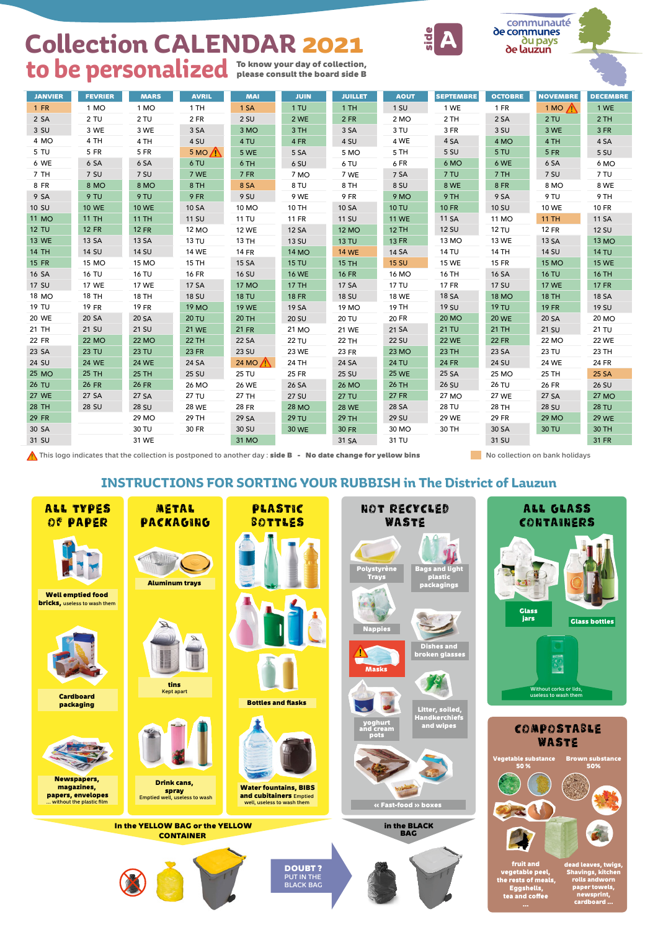

**papers, envelopes** … without the plastic film

**CONTAINER** 

well, useless to wash them



**fruit and vegetable peel, the rests of meals, Eggshells, tea and coffee** 

**dead leaves, twigs, Shavings, kitchen rolls andworn paper towels, newsprint, cardboard ...** 

**« Fast-food » boxes** 

### **INSTRUCTIONS FOR SORTING YOUR RUBBISH in The District of Lauzun**

| <b>JANVIER</b> | <b>FEVRIER</b> | <b>MARS</b>  | <b>AVRIL</b>  | <b>MAI</b>        | <b>JUIN</b>  | <b>JUILLET</b> | <b>AOUT</b>  | <b>SEPTEMBRE</b> | <b>OCTOBRE</b> | <b>NOVEMBRE</b>  | <b>DECEMBRE</b> |
|----------------|----------------|--------------|---------------|-------------------|--------------|----------------|--------------|------------------|----------------|------------------|-----------------|
| $1$ FR         | 1 MO           | 1 MO         | 1TH           | 1 SA              | 1 T U        | 1TH            | $1$ SU       | 1 WE             | $1$ FR         | $1 M O \sqrt{N}$ | 1 WE            |
| 2SA            | 2TU            | 2TU          | $2$ FR        | 2 SU              | 2 WE         | $2$ FR         | 2 MO         | 2TH              | 2SA            | 2TU              | 2TH             |
| 3 SU           | 3 WE           | 3 WE         | 3 SA          | 3 MO              | 3 TH         | 3 SA           | 3 TU         | 3 FR             | 3 SU           | 3 WE             | 3 FR            |
| 4 MO           | 4 TH           | 4 TH         | 4 SU          | 4 TU              | 4 FR         | 4 SU           | 4 WE         | 4 SA             | 4 MO           | 4 TH             | 4 SA            |
| 5 TU           | 5 FR           | 5 FR         | $5 MO \wedge$ | 5 WE              | 5 SA         | 5 MO           | 5 TH         | 5 SU             | 5 TU           | <b>5 FR</b>      | 5 SU            |
| 6 WE           | 6 SA           | 6 SA         | 6 TU          | 6 TH              | 6 SU         | 6 TU           | 6 FR         | 6 MO             | 6 WE           | 6 SA             | 6 MO            |
| 7 TH           | 7 SU           | 7 SU         | 7 WE          | <b>7 FR</b>       | 7 MO         | 7 WE           | 7 SA         | 7 TU             | 7 TH           | 7 SU             | 7 TU            |
| 8 FR           | 8 MO           | 8 MO         | 8 TH          | 8 SA              | 8 TU         | 8 TH           | 8 SU         | <b>8 WE</b>      | <b>8 FR</b>    | 8 MO             | 8 WE            |
| 9 SA           | 9 TU           | 9 TU         | 9 FR          | 9 SU              | 9 WE         | 9 FR           | 9 MO         | 9 TH             | 9 SA           | 9 TU             | 9 TH            |
| 10 SU          | <b>10 WE</b>   | <b>10 WE</b> | 10 SA         | 10 MO             | 10 TH        | 10 SA          | <b>10 TU</b> | <b>10 FR</b>     | <b>10 SU</b>   | <b>10 WE</b>     | <b>10 FR</b>    |
| <b>11 MO</b>   | <b>11 TH</b>   | <b>11 TH</b> | <b>11 SU</b>  | 11 TU             | <b>11 FR</b> | <b>11 SU</b>   | <b>11 WE</b> | 11 SA            | 11 MO          | <b>11 TH</b>     | <b>11 SA</b>    |
| <b>12 TU</b>   | <b>12 FR</b>   | <b>12 FR</b> | 12 MO         | <b>12 WE</b>      | <b>12 SA</b> | <b>12 MO</b>   | <b>12 TH</b> | <b>12 SU</b>     | <b>12 TU</b>   | <b>12 FR</b>     | <b>12 SU</b>    |
| <b>13 WE</b>   | 13 SA          | 13 SA        | <b>13 TU</b>  | 13 TH             | <b>13 SU</b> | <b>13 TU</b>   | <b>13 FR</b> | 13 MO            | 13 WE          | 13 SA            | <b>13 MO</b>    |
| <b>14 TH</b>   | 14 SU          | 14 SU        | <b>14 WE</b>  | <b>14 FR</b>      | <b>14 MO</b> | <b>14 WE</b>   | 14 SA        | <b>14 TU</b>     | <b>14 TH</b>   | <b>14 SU</b>     | <b>14 TU</b>    |
| <b>15 FR</b>   | 15 MO          | 15 MO        | 15 TH         | 15 SA             | <b>15 TU</b> | <b>15 TH</b>   | <b>15 SU</b> | <b>15 WE</b>     | <b>15 FR</b>   | <b>15 MO</b>     | <b>15 WE</b>    |
| 16 SA          | <b>16 TU</b>   | <b>16 TU</b> | <b>16 FR</b>  | <b>16 SU</b>      | <b>16 WE</b> | <b>16 FR</b>   | 16 MO        | 16 TH            | 16 SA          | <b>16 TU</b>     | <b>16 TH</b>    |
| 17 SU          | <b>17 WE</b>   | <b>17 WE</b> | 17 SA         | <b>17 MO</b>      | <b>17 TH</b> | 17 SA          | <b>17 TU</b> | <b>17 FR</b>     | <b>17 SU</b>   | <b>17 WE</b>     | <b>17 FR</b>    |
| 18 MO          | 18 TH          | <b>18 TH</b> | 18 SU         | <b>18 TU</b>      | <b>18 FR</b> | <b>18 SU</b>   | <b>18 WE</b> | <b>18 SA</b>     | <b>18 MO</b>   | <b>18 TH</b>     | 18 SA           |
| 19 TU          | <b>19 FR</b>   | <b>19 FR</b> | <b>19 MO</b>  | <b>19 WE</b>      | 19 SA        | 19 MO          | 19 TH        | <b>19 SU</b>     | <b>19 TU</b>   | <b>19 FR</b>     | <b>19 SU</b>    |
| <b>20 WE</b>   | 20 SA          | 20 SA        | <b>20 TU</b>  | <b>20 TH</b>      | <b>20 SU</b> | <b>20 TU</b>   | <b>20 FR</b> | <b>20 MO</b>     | <b>20 WE</b>   | 20 SA            | 20 MO           |
| 21 TH          | 21 SU          | 21 SU        | <b>21 WE</b>  | <b>21 FR</b>      | 21 MO        | 21 WE          | 21 SA        | <b>21 TU</b>     | 21 TH          | 21 SU            | 21 TU           |
| <b>22 FR</b>   | <b>22 MO</b>   | <b>22 MO</b> | <b>22 TH</b>  | 22 SA             | <b>22 TU</b> | <b>22 TH</b>   | <b>22 SU</b> | <b>22 WE</b>     | <b>22 FR</b>   | <b>22 MO</b>     | <b>22 WE</b>    |
| 23 SA          | <b>23 TU</b>   | <b>23 TU</b> | <b>23 FR</b>  | 23 SU             | 23 WE        | <b>23 FR</b>   | <b>23 MO</b> | <b>23 TH</b>     | 23 SA          | 23 TU            | 23 TH           |
| 24 SU          | <b>24 WE</b>   | <b>24 WE</b> | 24 SA         | 24 MO $\bigwedge$ | 24 TH        | 24 SA          | <b>24 TU</b> | <b>24 FR</b>     | 24 SU          | <b>24 WE</b>     | <b>24 FR</b>    |
| 25 MO          | <b>25 TH</b>   | <b>25 TH</b> | 25 SU         | <b>25 TU</b>      | 25 FR        | <b>25 SU</b>   | <b>25 WE</b> | 25 SA            | 25 MO          | 25 TH            | 25 SA           |
| <b>26 TU</b>   | <b>26 FR</b>   | <b>26 FR</b> | 26 MO         | <b>26 WE</b>      | 26 SA        | <b>26 MO</b>   | <b>26 TH</b> | 26 SU            | <b>26 TU</b>   | 26 FR            | 26 SU           |
| <b>27 WE</b>   | 27 SA          | 27 SA        | <b>27 TU</b>  | 27 TH             | <b>27 SU</b> | <b>27 TU</b>   | <b>27 FR</b> | 27 MO            | <b>27 WE</b>   | 27 SA            | <b>27 MO</b>    |
| <b>28 TH</b>   | <b>28 SU</b>   | <b>28 SU</b> | <b>28 WE</b>  | <b>28 FR</b>      | <b>28 MO</b> | <b>28 WE</b>   | 28 SA        | <b>28 TU</b>     | 28 TH          | <b>28 SU</b>     | <b>28 TU</b>    |
| <b>29 FR</b>   |                | 29 MO        | 29 TH         | 29 SA             | <b>29 TU</b> | <b>29 TH</b>   | <b>29 SU</b> | <b>29 WE</b>     | <b>29 FR</b>   | <b>29 MO</b>     | <b>29 WE</b>    |
| 30 SA          |                | 30 TU        | 30 FR         | 30 SU             | 30 WE        | <b>30 FR</b>   | 30 MO        | 30 TH            | 30 SA          | <b>30 TU</b>     | 30 TH           |
| 31 SU          |                | 31 WE        |               | 31 MO             |              | 31 SA          | 31 TU        |                  | 31 SU          |                  | 31 FR           |

This logo indicates that the collection is postponed to another day : **side B - No date change for yellow bins**

No collection on bank holidays

# **Collection CALENDAR 2021**

## to be personalized To know your day of collection,